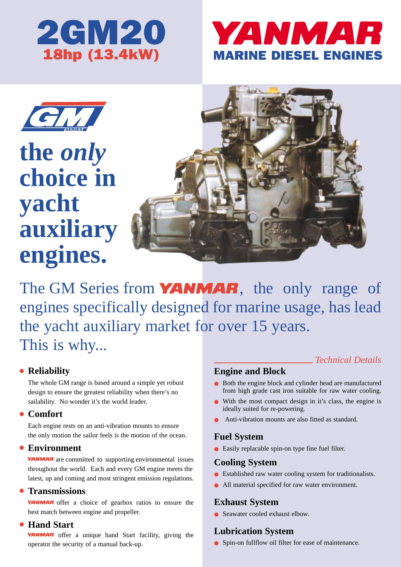

## YANMAR MARINE DIESEL ENGINES



**the** *only* **choice in yacht auxiliary engines.**



The GM Series from **YANMAR**, the only range of engines specifically designed for marine usage, has lead the yacht auxiliary market for over 15 years. This is why...

#### ● **Reliability**

The whole GM range is based around a simple yet robust design to ensure the greatest reliability when there's no sailability. No wonder it's the world leader.

#### ● **Comfort**

Each engine rests on an anti-vibration mounts to ensure the only motion the sailor feels is the motion of the ocean.

#### ● **Environment**

**YANMAR** are committed to supporting environmental issues throughout the world. Each and every GM engine meets the latest, up and coming and most stringent emission regulations.

#### ● **Transmissions**

**YANMAR** offer a choice of gearbox ratios to ensure the best match between engine and propeller.

#### ● **Hand Start**

**YANMAR** offer a unique hand Start facility, giving the operator the security of a manual back-up.

### **Engine and Block**

● Both the engine block and cylinder head are manufactured from high grade cast iron suitable for raw water cooling.

*Technical Details*

- With the most compact design in it's class, the engine is ideally suited for re-powering.
- Anti-vibration mounts are also fitted as standard.

#### **Fuel System**

● Easily replacable spin-on type fine fuel filter.

#### **Cooling System**

- Established raw water cooling system for traditionalists.
- All material specified for raw water environment.

#### **Exhaust System**

● Seawater cooled exhaust elbow.

#### **Lubrication System**

● Spin-on fullflow oil filter for ease of maintenance.